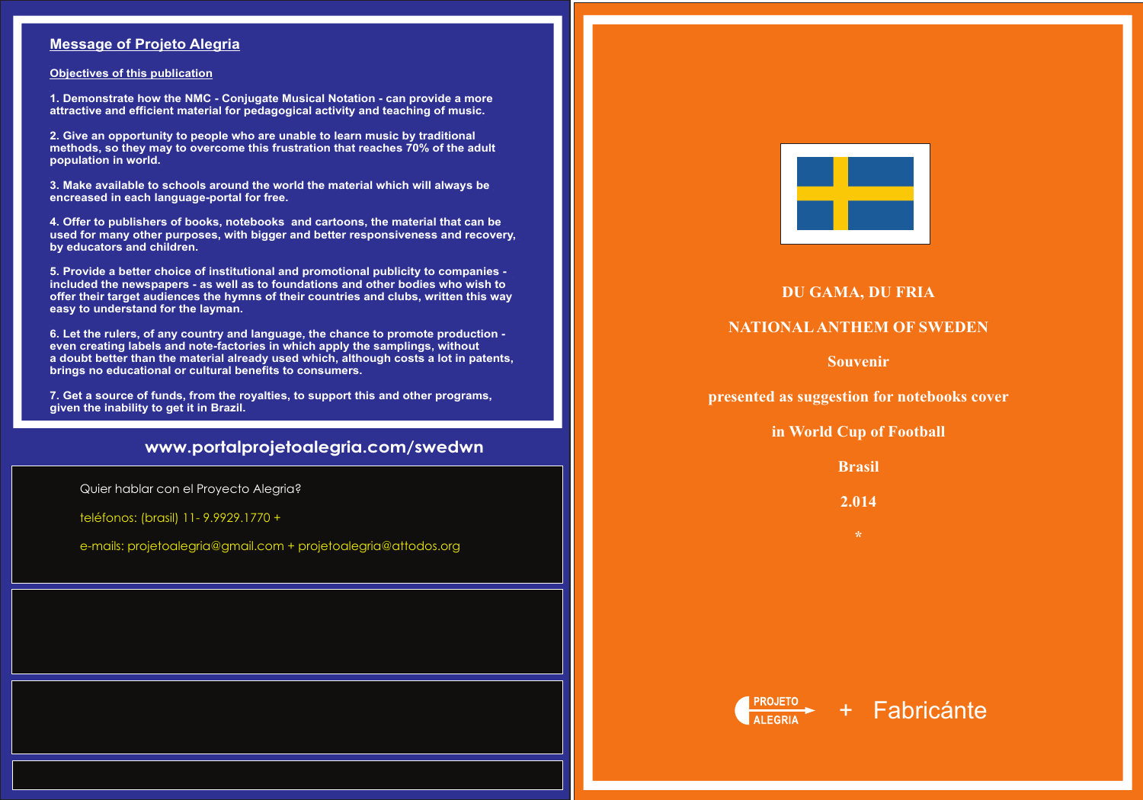### **DU GAMA, DU FRIA**

## **NATIONALANTHEM OF SWEDEN**

**Souvenir**

**presented as suggestion for notebooks cover**

**in World Cup of Football**

**Brasil**

**2.014**



## **www.portalprojetoalegria.com/swedwn**

### **Message of Projeto Alegria**

**Objectives of this publication**

**1. Demonstrate how the NMC - Conjugate Musical Notation - can provide a more attractive and efficient material for pedagogical activity and teaching of music.**

**2. Give an opportunity to people who are unable to learn music by traditional methods, so they may to overcome this frustration that reaches 70% of the adult population in world.**

**3. Make available to schools around the world the material which will always be encreased in each language-portal for free.**

**4. Offer to publishers of books, notebooks and cartoons, the material that can be used for many other purposes, with bigger and better responsiveness and recovery, by educators and children.**

**5. Provide a better choice of institutional and promotional publicity to companies included the newspapers - as well as to foundations and other bodies who wish to offer their target audiences the hymns of their countries and clubs, written this way easy to understand for the layman.** 

**6. Let the rulers, of any country and language, the chance to promote production even creating labels and note-factories in which apply the samplings, without a doubt better than the material already used which, although costs a lot in patents, brings no educational or cultural benefits to consumers.**

**7. Get a source of funds, from the royalties, to support this and other programs, given the inability to get it in Brazil.**

Quier hablar con el Proyecto Alegria?

teléfonos: (brasil) 11- 9.9929.1770 +

e-mails: projetoalegria@gmail.com + projetoalegria@attodos.org

# + Fabricánte